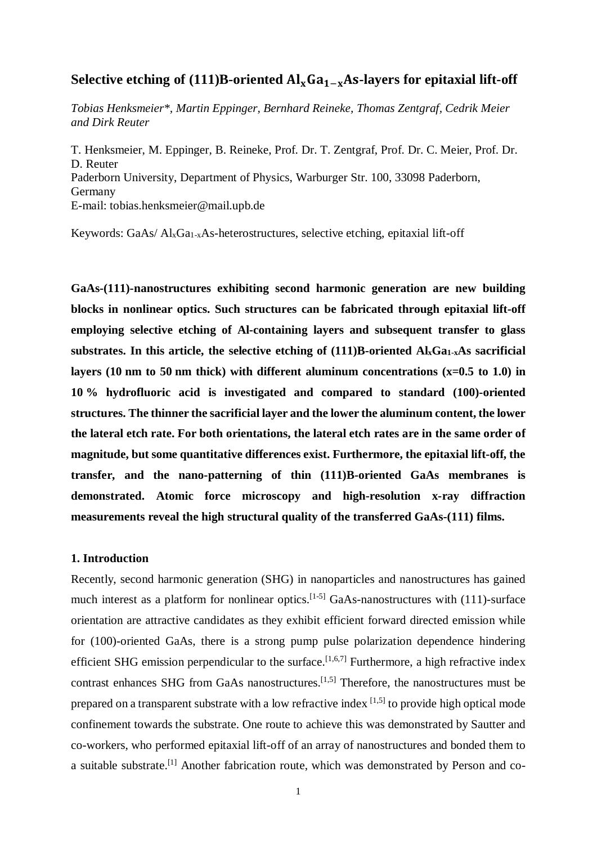# Selective etching of  $(111)B$ -oriented  $Al_xGa_{1-x}As$ -layers for epitaxial lift-off

*Tobias Henksmeier\*, Martin Eppinger, Bernhard Reineke, Thomas Zentgraf, Cedrik Meier and Dirk Reuter*

T. Henksmeier, M. Eppinger, B. Reineke, Prof. Dr. T. Zentgraf, Prof. Dr. C. Meier, Prof. Dr. D. Reuter Paderborn University, Department of Physics, Warburger Str. 100, 33098 Paderborn, Germany E-mail: tobias.henksmeier@mail.upb.de

Keywords: GaAs/ $Al_xGa_{1-x}As$ -heterostructures, selective etching, epitaxial lift-off

**GaAs-(111)-nanostructures exhibiting second harmonic generation are new building blocks in nonlinear optics. Such structures can be fabricated through epitaxial lift-off employing selective etching of Al-containing layers and subsequent transfer to glass substrates. In this article, the selective etching of (111)B-oriented AlxGa1-xAs sacrificial layers (10 nm to 50 nm thick) with different aluminum concentrations (x=0.5 to 1.0) in 10 % hydrofluoric acid is investigated and compared to standard (100)-oriented structures. The thinner the sacrificial layer and the lower the aluminum content, the lower the lateral etch rate. For both orientations, the lateral etch rates are in the same order of magnitude, but some quantitative differences exist. Furthermore, the epitaxial lift-off, the transfer, and the nano-patterning of thin (111)B-oriented GaAs membranes is demonstrated. Atomic force microscopy and high-resolution x-ray diffraction measurements reveal the high structural quality of the transferred GaAs-(111) films.**

## **1. Introduction**

Recently, second harmonic generation (SHG) in nanoparticles and nanostructures has gained much interest as a platform for nonlinear optics.<sup>[1-5]</sup> GaAs-nanostructures with  $(111)$ -surface orientation are attractive candidates as they exhibit efficient forward directed emission while for (100)-oriented GaAs, there is a strong pump pulse polarization dependence hindering efficient SHG emission perpendicular to the surface.<sup>[1,6,7]</sup> Furthermore, a high refractive index contrast enhances SHG from GaAs nanostructures.[1,5] Therefore, the nanostructures must be prepared on a transparent substrate with a low refractive index  $[1,5]$  to provide high optical mode confinement towards the substrate. One route to achieve this was demonstrated by Sautter and co-workers, who performed epitaxial lift-off of an array of nanostructures and bonded them to a suitable substrate.[1] Another fabrication route, which was demonstrated by Person and co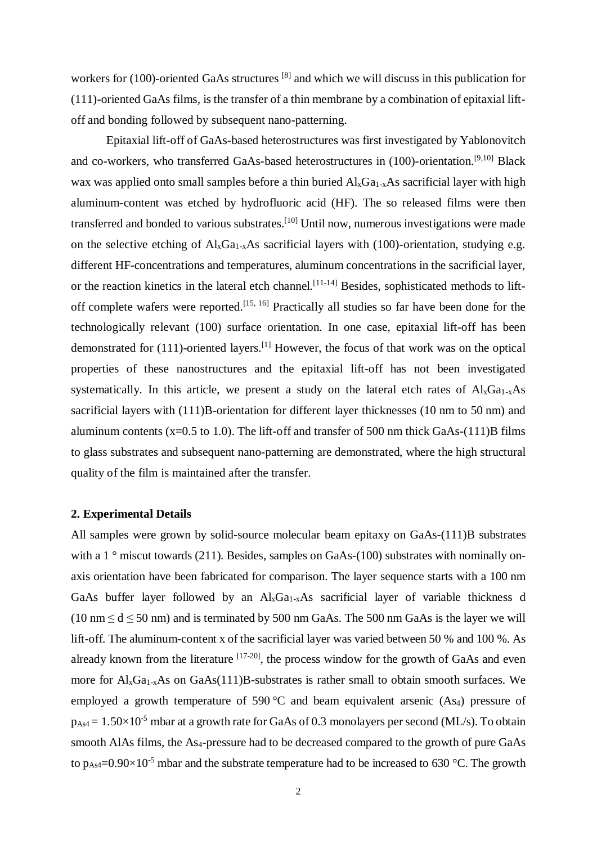workers for (100)-oriented GaAs structures <sup>[8]</sup> and which we will discuss in this publication for (111)-oriented GaAs films, is the transfer of a thin membrane by a combination of epitaxial liftoff and bonding followed by subsequent nano-patterning.

Epitaxial lift-off of GaAs-based heterostructures was first investigated by Yablonovitch and co-workers, who transferred GaAs-based heterostructures in (100)-orientation.[9,10] Black wax was applied onto small samples before a thin buried  $A\lambda_{x}Ga_{1-x}As$  sacrificial layer with high aluminum-content was etched by hydrofluoric acid (HF). The so released films were then transferred and bonded to various substrates.[10] Until now, numerous investigations were made on the selective etching of  $Al_xGa_{1-x}As$  sacrificial layers with (100)-orientation, studying e.g. different HF-concentrations and temperatures, aluminum concentrations in the sacrificial layer, or the reaction kinetics in the lateral etch channel.<sup>[11-14]</sup> Besides, sophisticated methods to liftoff complete wafers were reported.<sup>[15, 16]</sup> Practically all studies so far have been done for the technologically relevant (100) surface orientation. In one case, epitaxial lift-off has been demonstrated for  $(111)$ -oriented layers.<sup>[1]</sup> However, the focus of that work was on the optical properties of these nanostructures and the epitaxial lift-off has not been investigated systematically. In this article, we present a study on the lateral etch rates of  $Al<sub>x</sub>Ga<sub>1-x</sub>As$ sacrificial layers with (111)B-orientation for different layer thicknesses (10 nm to 50 nm) and aluminum contents ( $x=0.5$  to 1.0). The lift-off and transfer of 500 nm thick GaAs-(111)B films to glass substrates and subsequent nano-patterning are demonstrated, where the high structural quality of the film is maintained after the transfer.

#### **2. Experimental Details**

All samples were grown by solid-source molecular beam epitaxy on GaAs-(111)B substrates with a 1 $\degree$  miscut towards (211). Besides, samples on GaAs-(100) substrates with nominally onaxis orientation have been fabricated for comparison. The layer sequence starts with a 100 nm GaAs buffer layer followed by an  $\text{Al}_x\text{Ga}_{1-x}\text{As}$  sacrificial layer of variable thickness d (10 nm  $\leq d \leq 50$  nm) and is terminated by 500 nm GaAs. The 500 nm GaAs is the layer we will lift-off. The aluminum-content x of the sacrificial layer was varied between 50 % and 100 %. As already known from the literature  $[17-20]$ , the process window for the growth of GaAs and even more for  $Al_xGa_{1-x}As$  on  $GaAs(111)B$ -substrates is rather small to obtain smooth surfaces. We employed a growth temperature of 590 °C and beam equivalent arsenic  $(As<sub>4</sub>)$  pressure of  $p_{\text{As}4} = 1.50 \times 10^{-5}$  mbar at a growth rate for GaAs of 0.3 monolayers per second (ML/s). To obtain smooth AlAs films, the As4-pressure had to be decreased compared to the growth of pure GaAs to  $p_{As4} = 0.90 \times 10^{-5}$  mbar and the substrate temperature had to be increased to 630 °C. The growth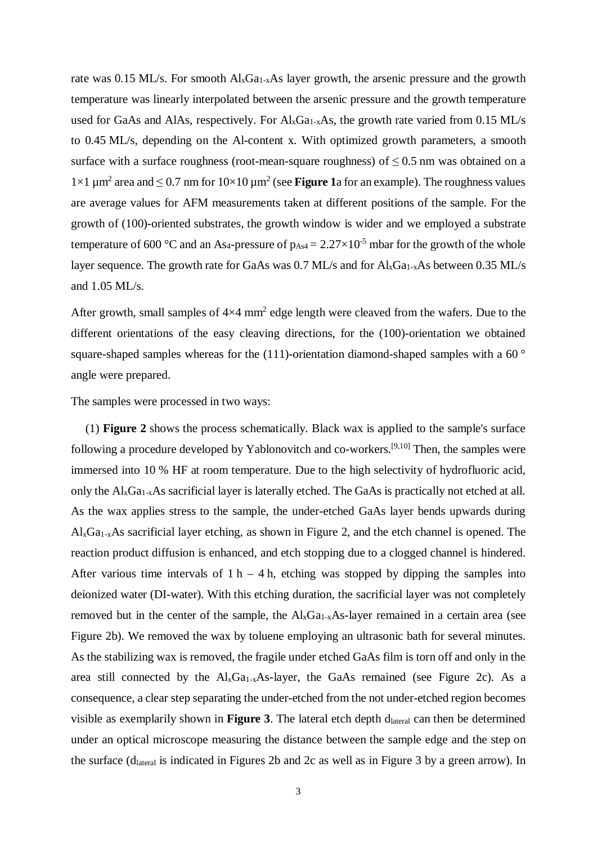rate was 0.15 ML/s. For smooth  $Al_xGa_{1-x}As$  layer growth, the arsenic pressure and the growth temperature was linearly interpolated between the arsenic pressure and the growth temperature used for GaAs and AlAs, respectively. For  $Al_xGa_{1-x}As$ , the growth rate varied from 0.15 ML/s to 0.45 ML/s, depending on the Al-content x. With optimized growth parameters, a smooth surface with a surface roughness (root-mean-square roughness) of  $\leq 0.5$  nm was obtained on a  $1×1 \mu m^2$  area and ≤ 0.7 nm for  $10×10 \mu m^2$  (see **Figure 1**a for an example). The roughness values are average values for AFM measurements taken at different positions of the sample. For the growth of (100)-oriented substrates, the growth window is wider and we employed a substrate temperature of 600 °C and an As<sub>4</sub>-pressure of  $p_{As4} = 2.27 \times 10^{-5}$  mbar for the growth of the whole layer sequence. The growth rate for GaAs was  $0.7$  ML/s and for  $Al_xGa_{1-x}As$  between  $0.35$  ML/s and 1.05 ML/s.

After growth, small samples of  $4\times4$  mm<sup>2</sup> edge length were cleaved from the wafers. Due to the different orientations of the easy cleaving directions, for the (100)-orientation we obtained square-shaped samples whereas for the (111)-orientation diamond-shaped samples with a 60 $^{\circ}$ angle were prepared.

The samples were processed in two ways:

 (1) **Figure 2** shows the process schematically. Black wax is applied to the sample's surface following a procedure developed by Yablonovitch and co-workers.<sup>[9,10]</sup> Then, the samples were immersed into 10 % HF at room temperature. Due to the high selectivity of hydrofluoric acid, only the  $Al_xGa_{1-x}As$  sacrificial layer is laterally etched. The GaAs is practically not etched at all. As the wax applies stress to the sample, the under-etched GaAs layer bends upwards during  $\text{Al}_x\text{Ga}_{1-x}\text{As}$  sacrificial layer etching, as shown in Figure 2, and the etch channel is opened. The reaction product diffusion is enhanced, and etch stopping due to a clogged channel is hindered. After various time intervals of  $1 h - 4 h$ , etching was stopped by dipping the samples into deionized water (DI-water). With this etching duration, the sacrificial layer was not completely removed but in the center of the sample, the  $Al_xGa_{1-x}As$ -layer remained in a certain area (see Figure 2b). We removed the wax by toluene employing an ultrasonic bath for several minutes. As the stabilizing wax is removed, the fragile under etched GaAs film is torn off and only in the area still connected by the  $Al_xGa_{1-x}As$ -layer, the GaAs remained (see Figure 2c). As a consequence, a clear step separating the under-etched from the not under-etched region becomes visible as exemplarily shown in **Figure 3**. The lateral etch depth d<sub>lateral</sub> can then be determined under an optical microscope measuring the distance between the sample edge and the step on the surface (d<sub>lateral</sub> is indicated in Figures 2b and 2c as well as in Figure 3 by a green arrow). In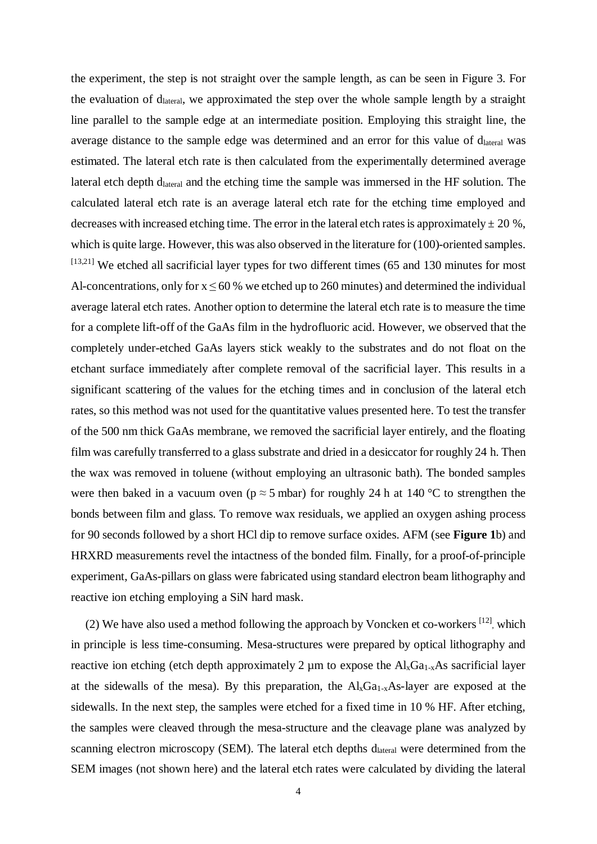the experiment, the step is not straight over the sample length, as can be seen in Figure 3. For the evaluation of  $d<sub>lateral</sub>$ , we approximated the step over the whole sample length by a straight line parallel to the sample edge at an intermediate position. Employing this straight line, the average distance to the sample edge was determined and an error for this value of d<sub>lateral</sub> was estimated. The lateral etch rate is then calculated from the experimentally determined average lateral etch depth dlateral and the etching time the sample was immersed in the HF solution. The calculated lateral etch rate is an average lateral etch rate for the etching time employed and decreases with increased etching time. The error in the lateral etch rates is approximately  $\pm 20$  %, which is quite large. However, this was also observed in the literature for (100)-oriented samples. [13,21] We etched all sacrificial layer types for two different times (65 and 130 minutes for most Al-concentrations, only for  $x \le 60$ % we etched up to 260 minutes) and determined the individual average lateral etch rates. Another option to determine the lateral etch rate is to measure the time for a complete lift-off of the GaAs film in the hydrofluoric acid. However, we observed that the completely under-etched GaAs layers stick weakly to the substrates and do not float on the etchant surface immediately after complete removal of the sacrificial layer. This results in a significant scattering of the values for the etching times and in conclusion of the lateral etch rates, so this method was not used for the quantitative values presented here. To test the transfer of the 500 nm thick GaAs membrane, we removed the sacrificial layer entirely, and the floating film was carefully transferred to a glass substrate and dried in a desiccator for roughly 24 h. Then the wax was removed in toluene (without employing an ultrasonic bath). The bonded samples were then baked in a vacuum oven ( $p \approx 5$  mbar) for roughly 24 h at 140 °C to strengthen the bonds between film and glass. To remove wax residuals, we applied an oxygen ashing process for 90 seconds followed by a short HCl dip to remove surface oxides. AFM (see **Figure 1**b) and HRXRD measurements revel the intactness of the bonded film. Finally, for a proof-of-principle experiment, GaAs-pillars on glass were fabricated using standard electron beam lithography and reactive ion etching employing a SiN hard mask.

(2) We have also used a method following the approach by Voncken et co-workers <sup>[12]</sup>, which in principle is less time-consuming. Mesa-structures were prepared by optical lithography and reactive ion etching (etch depth approximately 2  $\mu$ m to expose the Al<sub>x</sub>Ga<sub>1-x</sub>As sacrificial layer at the sidewalls of the mesa). By this preparation, the  $Al_xGa_{1-x}As$ -layer are exposed at the sidewalls. In the next step, the samples were etched for a fixed time in 10 % HF. After etching, the samples were cleaved through the mesa-structure and the cleavage plane was analyzed by scanning electron microscopy (SEM). The lateral etch depths d<sub>lateral</sub> were determined from the SEM images (not shown here) and the lateral etch rates were calculated by dividing the lateral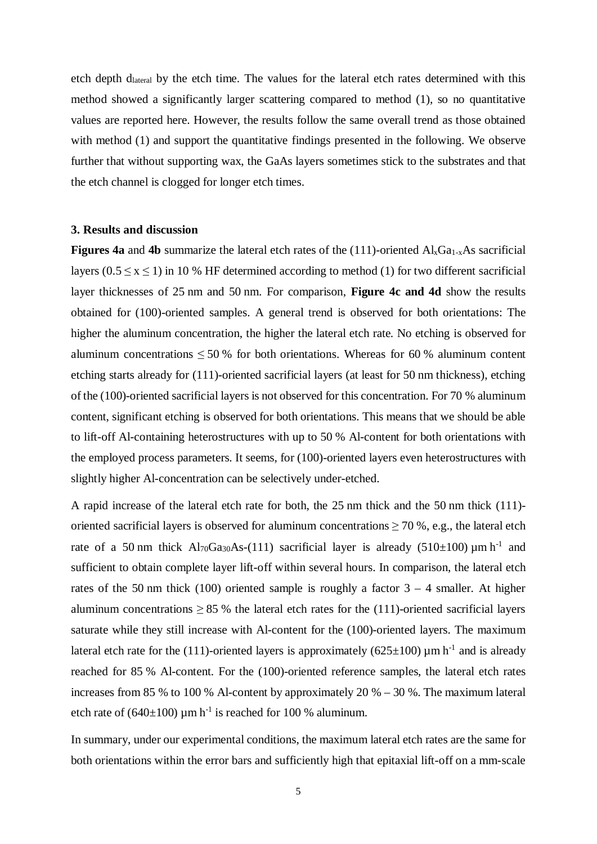etch depth dlateral by the etch time. The values for the lateral etch rates determined with this method showed a significantly larger scattering compared to method (1), so no quantitative values are reported here. However, the results follow the same overall trend as those obtained with method (1) and support the quantitative findings presented in the following. We observe further that without supporting wax, the GaAs layers sometimes stick to the substrates and that the etch channel is clogged for longer etch times.

## **3. Results and discussion**

**Figures 4a** and 4b summarize the lateral etch rates of the  $(111)$ -oriented  $Al_xGa_{1-x}As$  sacrificial layers ( $0.5 \le x \le 1$ ) in 10 % HF determined according to method (1) for two different sacrificial layer thicknesses of 25 nm and 50 nm. For comparison, **Figure 4c and 4d** show the results obtained for (100)-oriented samples. A general trend is observed for both orientations: The higher the aluminum concentration, the higher the lateral etch rate. No etching is observed for aluminum concentrations  $\leq 50\%$  for both orientations. Whereas for 60 % aluminum content etching starts already for (111)-oriented sacrificial layers (at least for 50 nm thickness), etching of the (100)-oriented sacrificial layers is not observed for this concentration. For 70 % aluminum content, significant etching is observed for both orientations. This means that we should be able to lift-off Al-containing heterostructures with up to 50 % Al-content for both orientations with the employed process parameters. It seems, for (100)-oriented layers even heterostructures with slightly higher Al-concentration can be selectively under-etched.

A rapid increase of the lateral etch rate for both, the 25 nm thick and the 50 nm thick (111) oriented sacrificial layers is observed for aluminum concentrations  $\geq$  70 %, e.g., the lateral etch rate of a 50 nm thick  $Al_{70}Ga_{30}As-(111)$  sacrificial layer is already (510±100)  $\mu$ m h<sup>-1</sup> and sufficient to obtain complete layer lift-off within several hours. In comparison, the lateral etch rates of the 50 nm thick (100) oriented sample is roughly a factor  $3 - 4$  smaller. At higher aluminum concentrations  $\geq 85$  % the lateral etch rates for the (111)-oriented sacrificial layers saturate while they still increase with Al-content for the (100)-oriented layers. The maximum lateral etch rate for the (111)-oriented layers is approximately (625 $\pm$ 100)  $\mu$ m h<sup>-1</sup> and is already reached for 85 % Al-content. For the (100)-oriented reference samples, the lateral etch rates increases from 85 % to 100 % Al-content by approximately 20 % – 30 %. The maximum lateral etch rate of (640 $\pm$ 100) µm h<sup>-1</sup> is reached for 100 % aluminum.

In summary, under our experimental conditions, the maximum lateral etch rates are the same for both orientations within the error bars and sufficiently high that epitaxial lift-off on a mm-scale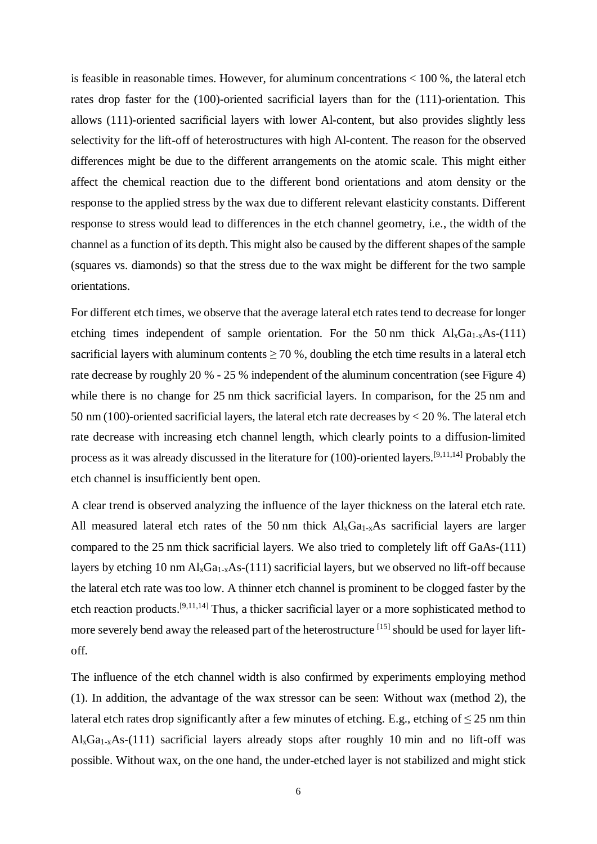is feasible in reasonable times. However, for aluminum concentrations < 100 %, the lateral etch rates drop faster for the (100)-oriented sacrificial layers than for the (111)-orientation. This allows (111)-oriented sacrificial layers with lower Al-content, but also provides slightly less selectivity for the lift-off of heterostructures with high Al-content. The reason for the observed differences might be due to the different arrangements on the atomic scale. This might either affect the chemical reaction due to the different bond orientations and atom density or the response to the applied stress by the wax due to different relevant elasticity constants. Different response to stress would lead to differences in the etch channel geometry, i.e., the width of the channel as a function of its depth. This might also be caused by the different shapes of the sample (squares vs. diamonds) so that the stress due to the wax might be different for the two sample orientations.

For different etch times, we observe that the average lateral etch rates tend to decrease for longer etching times independent of sample orientation. For the 50 nm thick  $Al_xGa_{1-x}As-(111)$ sacrificial layers with aluminum contents  $\geq$  70 %, doubling the etch time results in a lateral etch rate decrease by roughly 20 % - 25 % independent of the aluminum concentration (see Figure 4) while there is no change for 25 nm thick sacrificial layers. In comparison, for the 25 nm and 50 nm (100)-oriented sacrificial layers, the lateral etch rate decreases by < 20 %. The lateral etch rate decrease with increasing etch channel length, which clearly points to a diffusion-limited process as it was already discussed in the literature for (100)-oriented layers.[9,11,14] Probably the etch channel is insufficiently bent open.

A clear trend is observed analyzing the influence of the layer thickness on the lateral etch rate. All measured lateral etch rates of the 50 nm thick  $Al_xGa_{1-x}As$  sacrificial layers are larger compared to the 25 nm thick sacrificial layers. We also tried to completely lift off GaAs-(111) layers by etching 10 nm  $\text{Al}_x\text{Ga}_{1-x}\text{As}-(111)$  sacrificial layers, but we observed no lift-off because the lateral etch rate was too low. A thinner etch channel is prominent to be clogged faster by the etch reaction products.[9,11,14] Thus, a thicker sacrificial layer or a more sophisticated method to more severely bend away the released part of the heterostructure <sup>[15]</sup> should be used for layer liftoff.

The influence of the etch channel width is also confirmed by experiments employing method (1). In addition, the advantage of the wax stressor can be seen: Without wax (method 2), the lateral etch rates drop significantly after a few minutes of etching. E.g., etching of  $\leq 25$  nm thin  $Al<sub>x</sub>Ga<sub>1-x</sub>As-(111)$  sacrificial layers already stops after roughly 10 min and no lift-off was possible. Without wax, on the one hand, the under-etched layer is not stabilized and might stick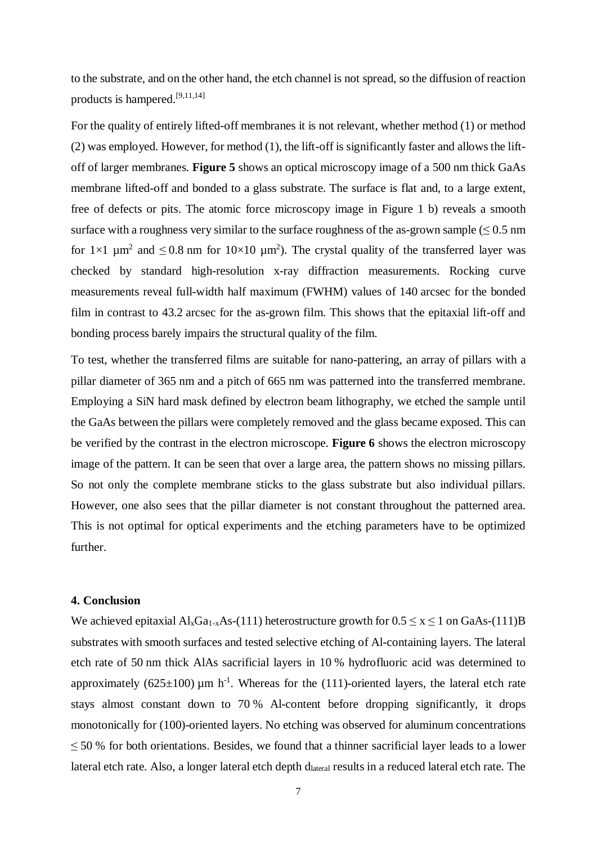to the substrate, and on the other hand, the etch channel is not spread, so the diffusion of reaction products is hampered.[9,11,14]

For the quality of entirely lifted-off membranes it is not relevant, whether method (1) or method (2) was employed. However, for method (1), the lift-off is significantly faster and allows the liftoff of larger membranes. **Figure 5** shows an optical microscopy image of a 500 nm thick GaAs membrane lifted-off and bonded to a glass substrate. The surface is flat and, to a large extent, free of defects or pits. The atomic force microscopy image in Figure 1 b) reveals a smooth surface with a roughness very similar to the surface roughness of the as-grown sample  $(\leq 0.5 \text{ nm})$ for  $1\times1$   $\mu$ m<sup>2</sup> and  $\leq 0.8$  nm for  $10\times10$   $\mu$ m<sup>2</sup>). The crystal quality of the transferred layer was checked by standard high-resolution x-ray diffraction measurements. Rocking curve measurements reveal full-width half maximum (FWHM) values of 140 arcsec for the bonded film in contrast to 43.2 arcsec for the as-grown film. This shows that the epitaxial lift-off and bonding process barely impairs the structural quality of the film.

To test, whether the transferred films are suitable for nano-pattering, an array of pillars with a pillar diameter of 365 nm and a pitch of 665 nm was patterned into the transferred membrane. Employing a SiN hard mask defined by electron beam lithography, we etched the sample until the GaAs between the pillars were completely removed and the glass became exposed. This can be verified by the contrast in the electron microscope. **Figure 6** shows the electron microscopy image of the pattern. It can be seen that over a large area, the pattern shows no missing pillars. So not only the complete membrane sticks to the glass substrate but also individual pillars. However, one also sees that the pillar diameter is not constant throughout the patterned area. This is not optimal for optical experiments and the etching parameters have to be optimized further.

#### **4. Conclusion**

We achieved epitaxial  $Al_xGa_{1-x}As-(111)$  heterostructure growth for  $0.5 \le x \le 1$  on GaAs-(111)B substrates with smooth surfaces and tested selective etching of Al-containing layers. The lateral etch rate of 50 nm thick AlAs sacrificial layers in 10 % hydrofluoric acid was determined to approximately (625 $\pm$ 100) µm h<sup>-1</sup>. Whereas for the (111)-oriented layers, the lateral etch rate stays almost constant down to 70 % Al-content before dropping significantly, it drops monotonically for (100)-oriented layers. No etching was observed for aluminum concentrations  $\leq$  50 % for both orientations. Besides, we found that a thinner sacrificial layer leads to a lower lateral etch rate. Also, a longer lateral etch depth d<sub>lateral</sub> results in a reduced lateral etch rate. The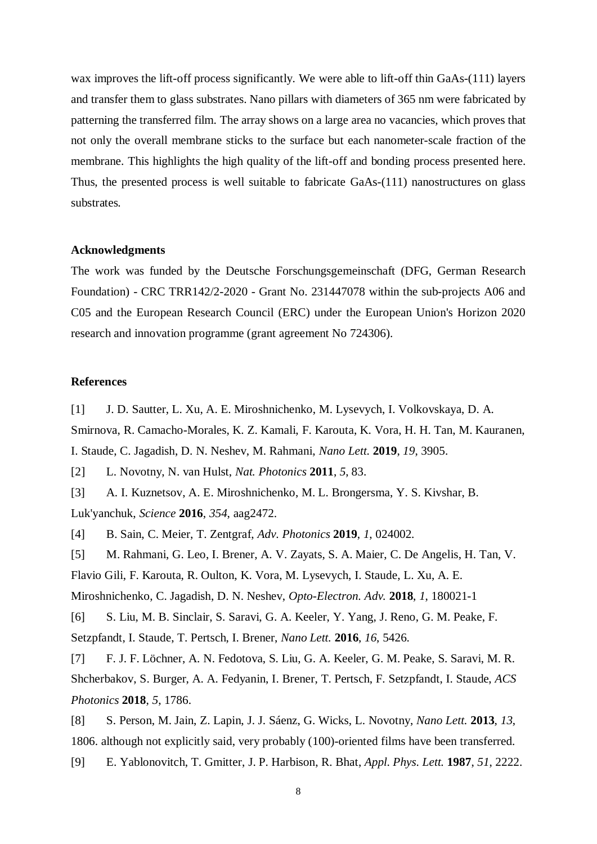wax improves the lift-off process significantly. We were able to lift-off thin GaAs-(111) layers and transfer them to glass substrates. Nano pillars with diameters of 365 nm were fabricated by patterning the transferred film. The array shows on a large area no vacancies, which proves that not only the overall membrane sticks to the surface but each nanometer-scale fraction of the membrane. This highlights the high quality of the lift-off and bonding process presented here. Thus, the presented process is well suitable to fabricate GaAs-(111) nanostructures on glass substrates.

### **Acknowledgments**

The work was funded by the Deutsche Forschungsgemeinschaft (DFG, German Research Foundation) - CRC TRR142/2-2020 - Grant No. 231447078 within the sub-projects A06 and C05 and the European Research Council (ERC) under the European Union's Horizon 2020 research and innovation programme (grant agreement No 724306).

## **References**

[1] J. D. Sautter, L. Xu, A. E. Miroshnichenko, M. Lysevych, I. Volkovskaya, D. A. Smirnova, R. Camacho-Morales, K. Z. Kamali, F. Karouta, K. Vora, H. H. Tan, M. Kauranen, I. Staude, C. Jagadish, D. N. Neshev, M. Rahmani, *Nano Lett.* **2019**, *19*, 3905.

[2] L. Novotny, N. van Hulst, *Nat. Photonics* **2011**, *5*, 83.

[3] A. I. Kuznetsov, A. E. Miroshnichenko, M. L. Brongersma, Y. S. Kivshar, B. Luk'yanchuk, *Science* **2016**, *354*, aag2472.

[4] B. Sain, C. Meier, T. Zentgraf, *Adv. Photonics* **2019**, *1*, 024002.

[5] M. Rahmani, G. Leo, I. Brener, A. V. Zayats, S. A. Maier, C. De Angelis, H. Tan, V.

Flavio Gili, F. Karouta, R. Oulton, K. Vora, M. Lysevych, I. Staude, L. Xu, A. E.

Miroshnichenko, C. Jagadish, D. N. Neshev, *Opto-Electron. Adv.* **2018**, *1*, 180021-1

[6] S. Liu, M. B. Sinclair, S. Saravi, G. A. Keeler, Y. Yang, J. Reno, G. M. Peake, F. Setzpfandt, I. Staude, T. Pertsch, I. Brener, *Nano Lett.* **2016**, *16*, 5426.

[7] F. J. F. Löchner, A. N. Fedotova, S. Liu, G. A. Keeler, G. M. Peake, S. Saravi, M. R. Shcherbakov, S. Burger, A. A. Fedyanin, I. Brener, T. Pertsch, F. Setzpfandt, I. Staude, *ACS Photonics* **2018**, *5*, 1786.

[8] S. Person, M. Jain, Z. Lapin, J. J. Sáenz, G. Wicks, L. Novotny, *Nano Lett.* **2013**, *13*, 1806. although not explicitly said, very probably (100)-oriented films have been transferred.

[9] E. Yablonovitch, T. Gmitter, J. P. Harbison, R. Bhat, *Appl. Phys. Lett.* **1987**, *51*, 2222.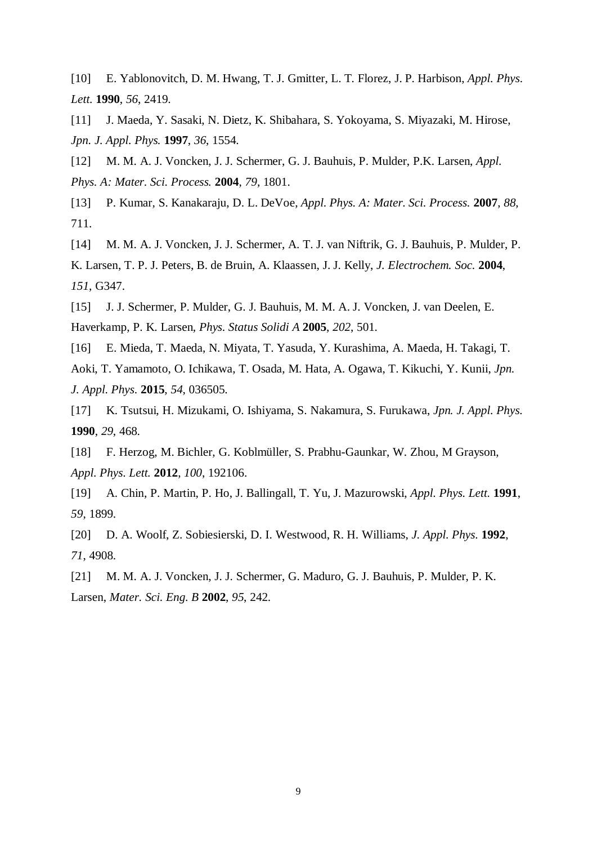[10] E. Yablonovitch, D. M. Hwang, T. J. Gmitter, L. T. Florez, J. P. Harbison, *Appl. Phys. Lett.* **1990**, *56*, 2419.

[11] J. Maeda, Y. Sasaki, N. Dietz, K. Shibahara, S. Yokoyama, S. Miyazaki, M. Hirose, *Jpn. J. Appl. Phys.* **1997**, *36*, 1554.

[12] M. M. A. J. Voncken, J. J. Schermer, G. J. Bauhuis, P. Mulder, P.K. Larsen, *Appl. Phys. A: Mater. Sci. Process.* **2004**, *79*, 1801.

[13] P. Kumar, S. Kanakaraju, D. L. DeVoe, *Appl. Phys. A: Mater. Sci. Process.* **2007**, *88*, 711.

[14] M. M. A. J. Voncken, J. J. Schermer, A. T. J. van Niftrik, G. J. Bauhuis, P. Mulder, P. K. Larsen, T. P. J. Peters, B. de Bruin, A. Klaassen, J. J. Kelly, *J. Electrochem. Soc.* **2004**, *151*, G347.

[15] J. J. Schermer, P. Mulder, G. J. Bauhuis, M. M. A. J. Voncken, J. van Deelen, E. Haverkamp, P. K. Larsen, *Phys. Status Solidi A* **2005**, *202*, 501.

[16] E. Mieda, T. Maeda, N. Miyata, T. Yasuda, Y. Kurashima, A. Maeda, H. Takagi, T. Aoki, T. Yamamoto, O. Ichikawa, T. Osada, M. Hata, A. Ogawa, T. Kikuchi, Y. Kunii, *Jpn. J. Appl. Phys.* **2015**, *54*, 036505.

[17] K. Tsutsui, H. Mizukami, O. Ishiyama, S. Nakamura, S. Furukawa, *Jpn. J. Appl. Phys.* **1990**, *29*, 468.

[18] F. Herzog, M. Bichler, G. Koblmüller, S. Prabhu-Gaunkar, W. Zhou, M Grayson, *Appl. Phys. Lett.* **2012**, *100*, 192106.

[19] A. Chin, P. Martin, P. Ho, J. Ballingall, T. Yu, J. Mazurowski, *Appl. Phys. Lett.* **1991**, *59*, 1899.

[20] D. A. Woolf, Z. Sobiesierski, D. I. Westwood, R. H. Williams, *J. Appl. Phys.* **1992**, *71*, 4908.

[21] M. M. A. J. Voncken, J. J. Schermer, G. Maduro, G. J. Bauhuis, P. Mulder, P. K. Larsen, *Mater. Sci. Eng. B* **2002**, *95*, 242.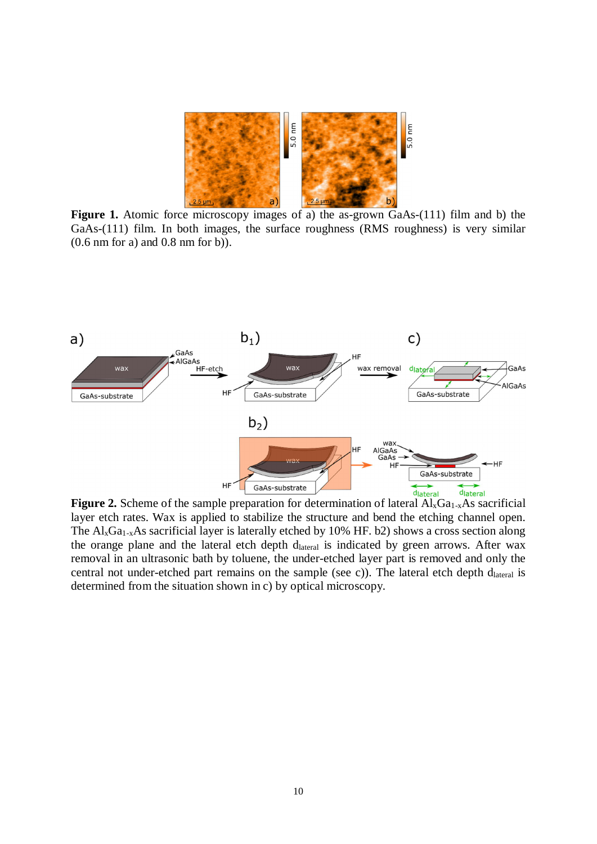

Figure 1. Atomic force microscopy images of a) the as-grown GaAs-(111) film and b) the GaAs-(111) film. In both images, the surface roughness (RMS roughness) is very similar (0.6 nm for a) and 0.8 nm for b)).



layer etch rates. Wax is applied to stabilize the structure and bend the etching channel open. The  $\text{Al}_x\text{Ga}_{1-x}\text{As}$  sacrificial layer is laterally etched by 10% HF. b2) shows a cross section along the orange plane and the lateral etch depth d<sub>lateral</sub> is indicated by green arrows. After wax removal in an ultrasonic bath by toluene, the under-etched layer part is removed and only the central not under-etched part remains on the sample (see c)). The lateral etch depth  $d<sub>lateral</sub>$  is determined from the situation shown in c) by optical microscopy.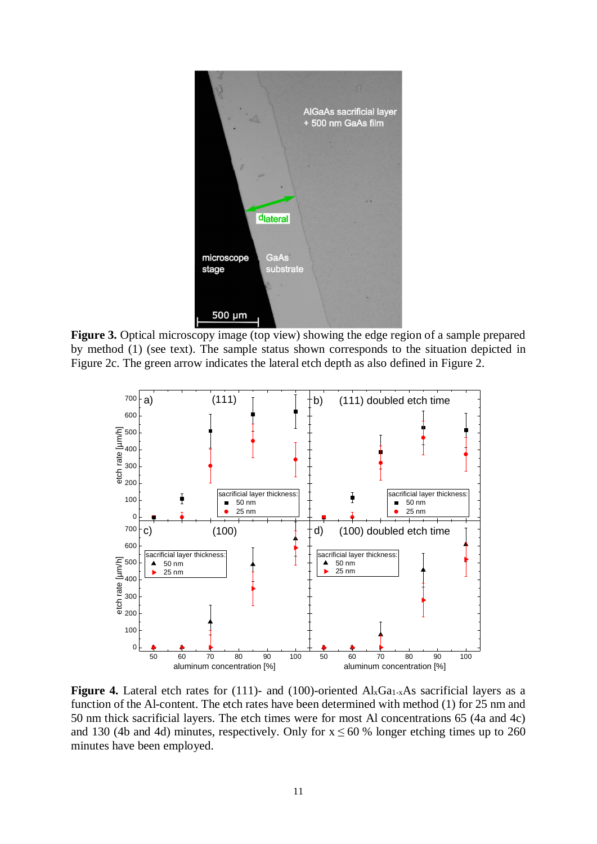

**Figure 3.** Optical microscopy image (top view) showing the edge region of a sample prepared by method (1) (see text). The sample status shown corresponds to the situation depicted in Figure 2c. The green arrow indicates the lateral etch depth as also defined in Figure 2.



Figure 4. Lateral etch rates for (111)- and (100)-oriented Al<sub>x</sub>Ga<sub>1-x</sub>As sacrificial layers as a function of the Al-content. The etch rates have been determined with method (1) for 25 nm and 50 nm thick sacrificial layers. The etch times were for most Al concentrations 65 (4a and 4c) and 130 (4b and 4d) minutes, respectively. Only for  $x \le 60$  % longer etching times up to 260 minutes have been employed.